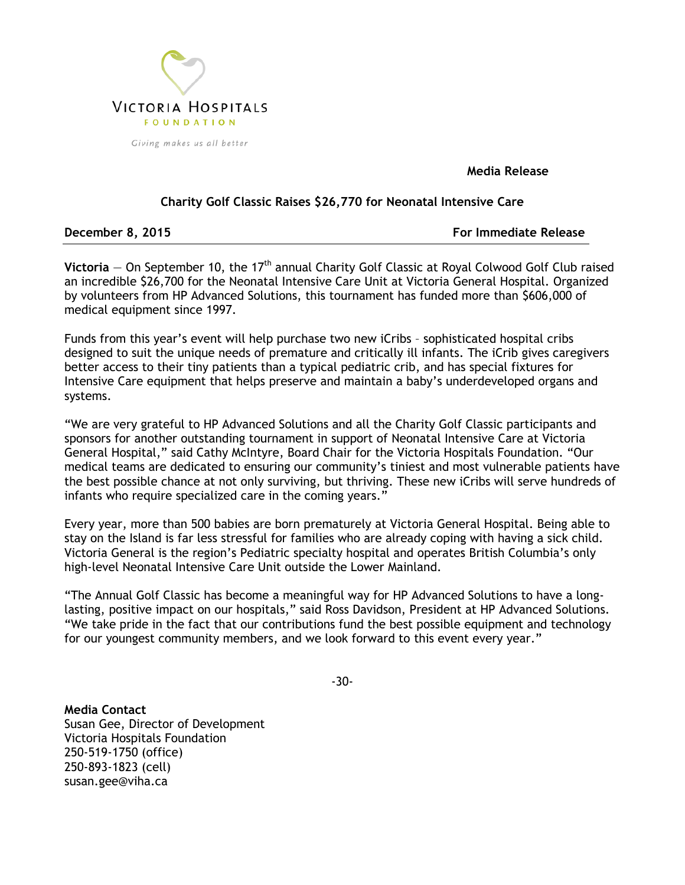

**Media Release**

## **Charity Golf Classic Raises \$26,770 for Neonatal Intensive Care**

**December 8, 2015 For Immediate Release**

Victoria – On September 10, the 17<sup>th</sup> annual Charity Golf Classic at Royal Colwood Golf Club raised an incredible \$26,700 for the Neonatal Intensive Care Unit at Victoria General Hospital. Organized by volunteers from HP Advanced Solutions, this tournament has funded more than \$606,000 of medical equipment since 1997.

Funds from this year's event will help purchase two new iCribs – sophisticated hospital cribs designed to suit the unique needs of premature and critically ill infants. The iCrib gives caregivers better access to their tiny patients than a typical pediatric crib, and has special fixtures for Intensive Care equipment that helps preserve and maintain a baby's underdeveloped organs and systems.

"We are very grateful to HP Advanced Solutions and all the Charity Golf Classic participants and sponsors for another outstanding tournament in support of Neonatal Intensive Care at Victoria General Hospital," said Cathy McIntyre, Board Chair for the Victoria Hospitals Foundation. "Our medical teams are dedicated to ensuring our community's tiniest and most vulnerable patients have the best possible chance at not only surviving, but thriving. These new iCribs will serve hundreds of infants who require specialized care in the coming years."

Every year, more than 500 babies are born prematurely at Victoria General Hospital. Being able to stay on the Island is far less stressful for families who are already coping with having a sick child. Victoria General is the region's Pediatric specialty hospital and operates British Columbia's only high-level Neonatal Intensive Care Unit outside the Lower Mainland.

"The Annual Golf Classic has become a meaningful way for HP Advanced Solutions to have a longlasting, positive impact on our hospitals," said Ross Davidson, President at HP Advanced Solutions. "We take pride in the fact that our contributions fund the best possible equipment and technology for our youngest community members, and we look forward to this event every year."

-30-

**Media Contact** Susan Gee, Director of Development Victoria Hospitals Foundation 250-519-1750 (office) 250-893-1823 (cell) susan.gee@viha.ca